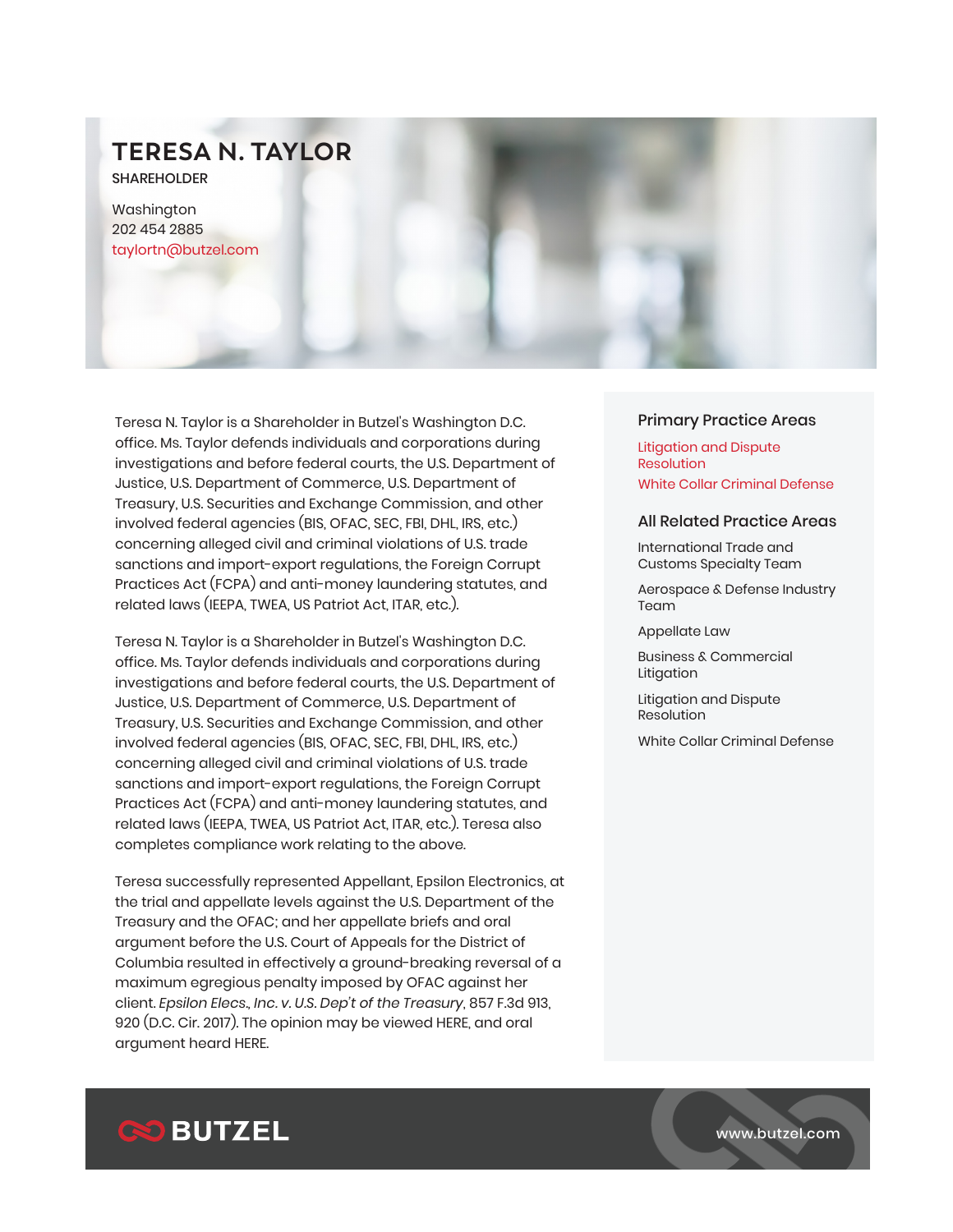# **TERESA N. TAYLOR**

SHAREHOLDER

Washington 202 454 2885 taylortn@butzel.com

Teresa N. Taylor is a Shareholder in Butzel's Washington D.C. office. Ms. Taylor defends individuals and corporations during investigations and before federal courts, the U.S. Department of Justice, U.S. Department of Commerce, U.S. Department of Treasury, U.S. Securities and Exchange Commission, and other involved federal agencies (BIS, OFAC, SEC, FBI, DHL, IRS, etc.) concerning alleged civil and criminal violations of U.S. trade sanctions and import-export regulations, the Foreign Corrupt Practices Act (FCPA) and anti-money laundering statutes, and related laws (IEEPA, TWEA, US Patriot Act, ITAR, etc.).

Teresa N. Taylor is a Shareholder in Butzel's Washington D.C. office. Ms. Taylor defends individuals and corporations during investigations and before federal courts, the U.S. Department of Justice, U.S. Department of Commerce, U.S. Department of Treasury, U.S. Securities and Exchange Commission, and other involved federal agencies (BIS, OFAC, SEC, FBI, DHL, IRS, etc.) concerning alleged civil and criminal violations of U.S. trade sanctions and import-export regulations, the Foreign Corrupt Practices Act (FCPA) and anti-money laundering statutes, and related laws (IEEPA, TWEA, US Patriot Act, ITAR, etc.). Teresa also completes compliance work relating to the above.

Teresa successfully represented Appellant, Epsilon Electronics, at the trial and appellate levels against the U.S. Department of the Treasury and the OFAC; and her appellate briefs and oral argument before the U.S. Court of Appeals for the District of Columbia resulted in effectively a ground-breaking reversal of a maximum egregious penalty imposed by OFAC against her client. *Epsilon Elecs., Inc. v. U.S. Dep't of the Treasury*, 857 F.3d 913, 920 (D.C. Cir. 2017). The opinion may be viewed HERE, and oral argument heard HERE.

# Primary Practice Areas

Litigation and Dispute **Resolution** White Collar Criminal Defense

### All Related Practice Areas

International Trade and Customs Specialty Team

Aerospace & Defense Industry Team

Appellate Law

Business & Commercial Litigation

Litigation and Dispute Resolution

White Collar Criminal Defense



www.butzel.com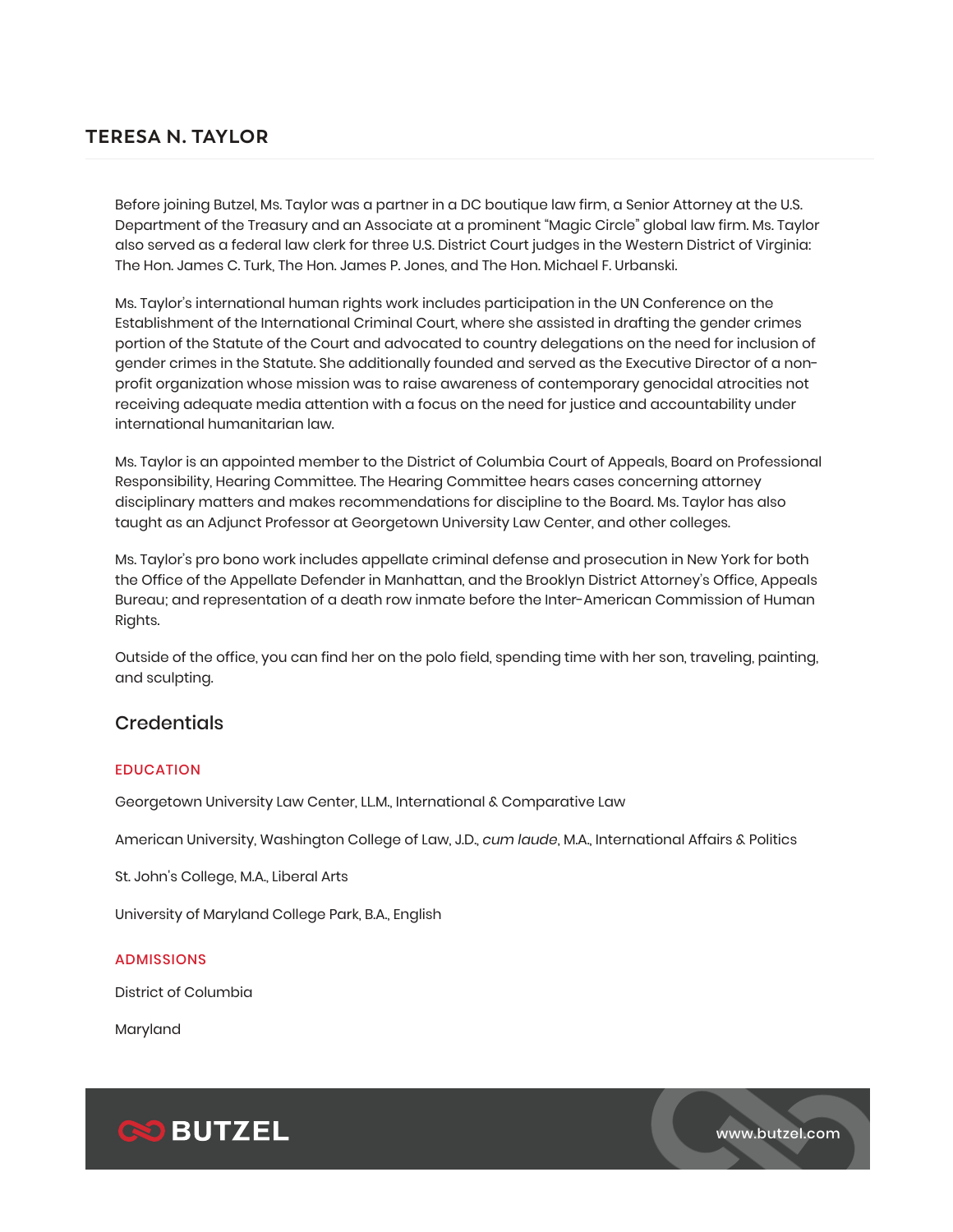# **TERESA N. TAYLOR**

Before joining Butzel, Ms. Taylor was a partner in a DC boutique law firm, a Senior Attorney at the U.S. Department of the Treasury and an Associate at a prominent "Magic Circle" global law firm. Ms. Taylor also served as a federal law clerk for three U.S. District Court judges in the Western District of Virginia: The Hon. James C. Turk, The Hon. James P. Jones, and The Hon. Michael F. Urbanski.

Ms. Taylor's international human rights work includes participation in the UN Conference on the Establishment of the International Criminal Court, where she assisted in drafting the gender crimes portion of the Statute of the Court and advocated to country delegations on the need for inclusion of gender crimes in the Statute. She additionally founded and served as the Executive Director of a nonprofit organization whose mission was to raise awareness of contemporary genocidal atrocities not receiving adequate media attention with a focus on the need for justice and accountability under international humanitarian law.

Ms. Taylor is an appointed member to the District of Columbia Court of Appeals, Board on Professional Responsibility, Hearing Committee. The Hearing Committee hears cases concerning attorney disciplinary matters and makes recommendations for discipline to the Board. Ms. Taylor has also taught as an Adjunct Professor at Georgetown University Law Center, and other colleges.

Ms. Taylor's pro bono work includes appellate criminal defense and prosecution in New York for both the Office of the Appellate Defender in Manhattan, and the Brooklyn District Attorney's Office, Appeals Bureau; and representation of a death row inmate before the Inter-American Commission of Human Rights.

Outside of the office, you can find her on the polo field, spending time with her son, traveling, painting, and sculpting.

# **Credentials**

# EDUCATION

Georgetown University Law Center, LL.M., International & Comparative Law

American University, Washington College of Law, J.D., *cum laude*, M.A., International Affairs & Politics

St. John's College, M.A., Liberal Arts

University of Maryland College Park, B.A., English

## ADMISSIONS

District of Columbia

Maryland



www.butzel.com